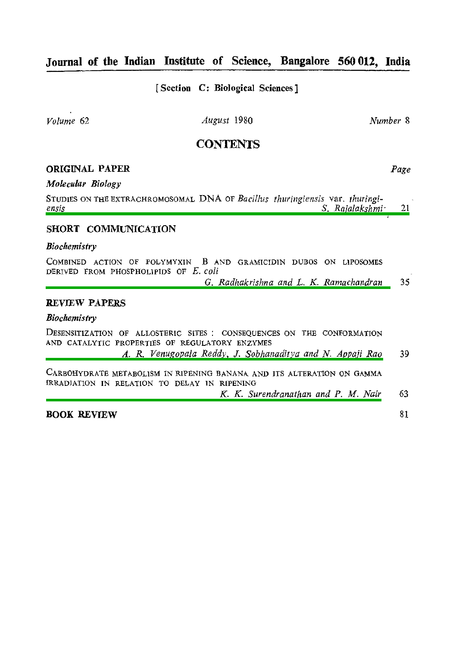# **Journal of the Indian Institute of Science, Bangalore 560 012, India**

[ **Section C: Biological Sciences** ]

*Volume 62 August 1980 Number* **8** 

# **CONTENTS**

# **ORIGINAL PAPER** *Page*

### *Molecular Biology*

STUDIES ON THE EXTRACHROMOSOMAL DNA OF Bacillus thuringiensis var. thuringi-<br>ensis *[ensis S. Rajalakshrni-](#page-1-0)* **21** 

## **SHORT COMMUNICATION**

### *Biochemistry*

COMBINED ACTION OF POLYMYXIN B AND GRAMICIDIN DUBOS ON LIPOSOMES **DERIVED FROM PHOSPHOLIPIDS OF** *E. coli* 

*G. Radhakrishna and L.* K. *Ramachandran*  35

## **REVIEW** *PAPERS*

## *Biochemistry*

**DESENSITIZATION OF ALLOSTERIC SITES** : **CONSEQUENCES ON THE CONFORMATION AND CATALYTIC PROPERTIES OF REGULATORY ENZYMES** 

*A. R. Venugopala Reddy, J. Sobhanaditya and N. Appaji Rao*  39

**CARBOHYDRATE METABOLISM IN RIPENING BANANA AND ITS ALTERATION ON GAMMA IRRADIATION IN RELATION TO DELAY IN RIPENING** 

**K.** K. *Surendranathan and P. M. Nair*  63

**BOOK REVIEW** 

81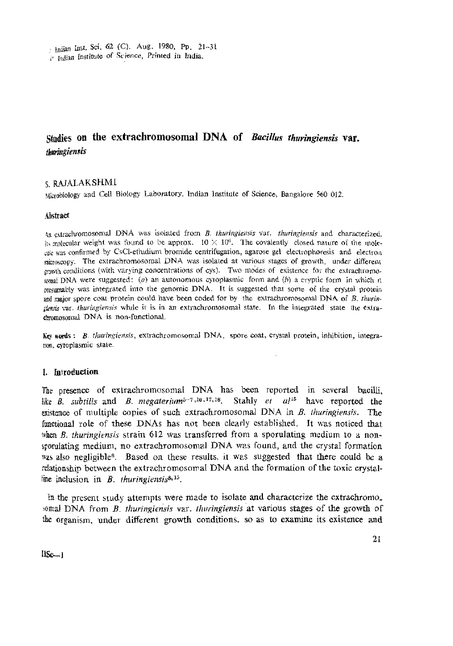<span id="page-1-0"></span>bodian Inst. Sci. 62 (C). Aug. 1980, Pp. 21-31

relation Institute of Science, Printed in India.

# Studies on the extrachromosomal DNA of Bacillus thuringiensis var. thuringiensis

## **CRAIALAKSHMI**

Mirabiology and Cell Biology Laboratory, Indian Institute of Science, Bangalore 560 012.

#### Alstract

An extrachromosomal DNA was isolated from B. thuringiensis var. thuringiensis and characterized the volecular weight was found to be approx.  $10 \times 10^{6}$ . The covalently closed nature of the molecale was confirmed by CsCl-ethidium bromide centrifugation, agarose gel electrophoresis and electron meroscopy. The extrachromosomal DNA was isolated at various stages of growth, under different enwth conditions (with varying concentrations of cys). Two modes of existence for the extractromosynal DNA were suggested: (a) an autonomous cytoplasmic form and (b) a cryptic form in which it resumably was integrated into the genomic DNA. It is suggested that some of the crystal protein and major spore coat protein could have been coded for by the extracturomosomal DNA of B. thurinstonsis var. *Inuringiensis* while it is in an extrachromosomal state. In the integrated state the extraemmosomal DNA is non-functional.

Key words: B. thuringiensis, extractromosomal DNA, spore coat, crystal protein, inhibition, integratron, evtoplasmic state.

#### 1. Introduction

The presence of extrachromosomal DNA has been reported in several bacilli. like B. subtilis and B. megaterium<sup>5-7,10,17,18</sup>. Stahly et al<sup>15</sup> have reported the existence of multiple copies of such extrachromosomal DNA in B. thuringiensis. The functional role of these DNAs has not been clearly established. It was noticed that when  $B$ , thuringiensis strain 612 was transferred from a sporulating medium to a nonsporulating medium, no extrachromosomal DNA was found, and the crystal formation was also negligible<sup>8</sup>. Based on these results, it was suggested that there could be a relationship between the extrachromosomal DNA and the formation of the toxic crystalline inclusion in  $B$ . thuringiensis<sup>8,15</sup>.

In the present study attempts were made to isolate and characterize the extrachromo. somal DNA from B. thuringiensis var. thuringiensis at various stages of the growth of the organism, under different growth conditions, so as to examine its existence and

 $I.Sc-1$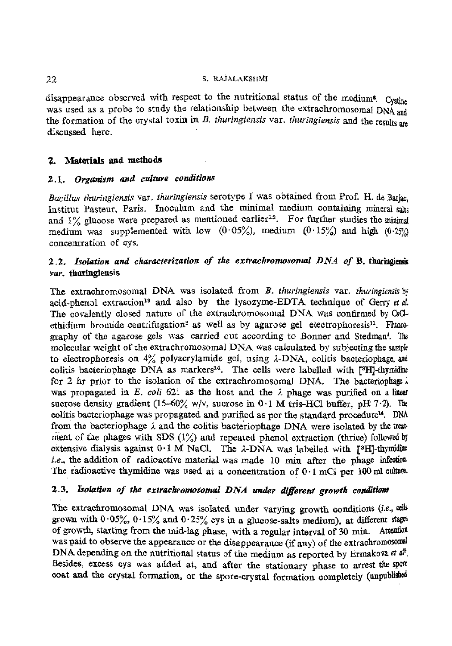## S. RAJALAKSHMI

disappearance observed with respect to the nutritional status of the medium<sup>8</sup>. Cystine was used as a probe to study the relationship between the extrachromosomal **DNA and**  the formation of the crystal toxin in *B. thuringiensis* var. *thuringiensis* and the results are discussed here.

## **2.** Materials *and methods*

# *2.1. Organism and culture conditions*

*Bacillus thuringiensis* var. *fhuringiensis* serotype I was obtained from Prof. H. de **Barb,**  Institut Pasteur, Paris. Inoculum and the minimal medium containing mineral salts and 1% glucose were prepared as mentioned earlier<sup>13</sup>. For further studies the minimal medium was supplemented with low  $(0.05\%)$ , medium  $(0.15\%)$  and high  $(0.25\%)$ concentration of cys.

# 2.2. Isolation and characterization of the extrachromosomal DNA of B. thuringiensis *vur.* **tburingiensis**

The extraohromosomal DNA was isolated from B. *thuringiensis* var. *thuringiensis* by acid-phenol extraction<sup>19</sup> and also by the lysozyme-EDTA technique of Gerry et al. The covalently closed nature of the extrachromosomal DNA was confirmed by **QC%**  ethidium bromide centrifugation<sup>3</sup> as well as by agarose gel electrophoresis<sup>11</sup>. Fluoregraphy of the agarose gels was carried out according to Bonner and Stedman<sup>4</sup>. The molecular weight of ihe extrachromosomal DNA was calculated by subjecting the **saqk**  to electrophoresis on 4% polyacrylamide gel, using I-DNA, colitis bacteriophage, **and**  colitis bacteriophage DNA as markers<sup>14</sup>. The cells were labelled with <sup>[3</sup>H]-thymidiae for 2 hr prior to the isolation of the extrachromosomal DNA. The bacteriophage  $i$ was propagated in E.  $coli$  621 as the host and the  $\lambda$  phage was purified on a linear sucrose density gradient  $(15-60\% \text{ w/v}, \text{ sucrose in } 0.1 \text{ M} \text{ tris-HCl buffer, pH } 7.2)$ . The colitis bacteriophage was propagated and purified as per the standard procedure". DNA from the bacteriophage *I* and the colitis bacteriophage DNA were isolated by the treat ment of the **phages** with SDS (1%) and repeated phenol extraction (thrice) followed **by**  extensive dialysis against 0.1 M NaCl. The  $\lambda$ -DNA was labelled with [<sup>3</sup>H]-thymidine **ie., the** addition of radioactive material was made 10 min after the phage **infedion.**  The radioactive thymidine was used at a concentration of  $0.1$  mCi per  $100$  ml culture.

# 2.3. Isolation of the extrachromosomal DNA under different growth conditions

The extrachromosomal DNA was isolated under varying growth conditions **(i.e.,**  grown with  $0.05\%$ ,  $0.15\%$  and  $0.25\%$  cys in a glucose-salts medium), at different stags of growth, starting from the mid-lag phase, with a regular interval of 30 min. Attention was paid to observe the appearance or the disappearance (if any) of the extrachromosomal DNA depending on the nutritional status of the medium as reported by Ermakova et a. Besides, excess cys was added at, and after the stationary phase to arrest the spore-coat and the crystal formation, or the spore-crystal formation completely (unpublished

 $22$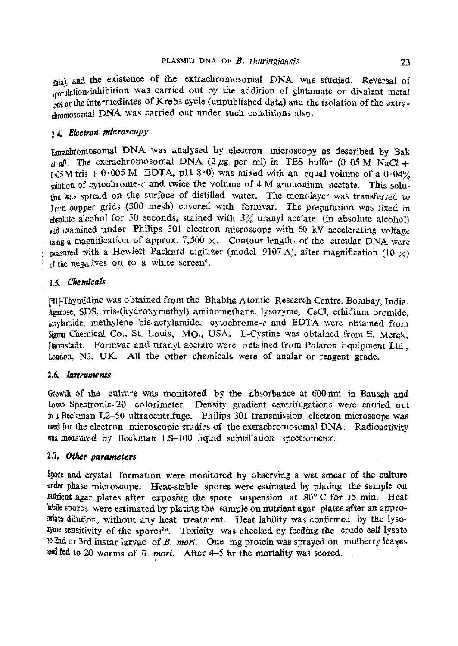data), and the existence of the extrachromosomal DNA was studied. Reversal of morphation-inhibition was carried out by the addition of glutamate or divalent metal the intermediates of Krebs cycle (unpublished data) and the isolation of the extradvomosomal DNA was carried out under such conditions also.

# 1.4. Electron microscopy

Ertrachromosomal DNA was analysed by electron microscopy as described by Bak  $d/dl$ . The extrachromosomal DNA (2  $\mu$ g per ml) in TES buffer (0.05 M NaCl +  $\frac{1}{605}$ M tris  $+ 0.005$  M **EDTA**, pH  $8.0$ ) was mixed with an equal volume of a  $0.04\%$  $\frac{1}{x}$  and twice the volume of 4 M ammonium acetate. This solu-(ion was spread on the surface of distilled water. The monolayer was transferred to 3mm copper grids (300 mesh) covered with formvar. The preparation was fixed in absolute alcohol for 30 seconds, stained with  $3\%$  uranyl acetate (in absolute alcohol) and examined under Philips 301 electron microscope with 60 kV accelerating voltage  $\frac{u}{\text{using a magnification of approx. 7,500}} \times$ . Contour lengths of the circular DNA were reasured with a Hewlett-Packard digitizer (model 9107 A), after magnification  $(10 \times)$ of the negatives on to a white screen<sup>6</sup>.

# 1.5. Chemicals

fHEThymidine was obtained from the Bhabha Atomic Research Centre, Bombay, India. &.rose, SDS, tris-(hydroxymethyl) aminomethane, lysozyme, **CsCI,** ethidium bromide,  $a$ erylamide, methylene bis-acrylamide, cytochrome- $c$  and EDTA were obtained from **Sigma** Chemical CO., St. Louis, MO., USA. L-Cystine was obtained from E. Merck, Darmstadt. Formvar and uranyl a.cetate were obtained from Polaron Equipment Ltd., London, N3, UK. All the other chemicals were of analar or reagent grade.

## 1.6. Instruments

Growth of the culture was monitored by the absorbance at 600 nm in Bausch and **Lomb** Spectronic-20 colorimeter. Density gradient centrifugations were carried out ha Beckman L2-50 ultracentrifuge. Philips 301 transmission electron microscope was used for the electron microscopic studies of the extrachromosomal DNA. Radioactivity **was** measured by Beckman LS-100 liquid scintillation spectrometer.

## **2.7.** *Other* **parameters**

**%re** and crystal formation were monitored by observing a wet smear of **the** cdture phase microscope. Heat-stable spores were estimated by plating the sample on with a gar plates after exposing the spore suspension at  $80^{\circ}$  C for 15 min. Heat **labile** spores were estimated by plating the sample on nutrient agar plaks after an appro-**P%te** dilution, without any heat treatment. Heat lability was confirmed by the lyso-*Eyme* sensitivity of the spores16. Toxicity was checked by feeding the crude cell lysate **2nd** or 3rd instar larvae of B. *mori.* One mg protein was sprayed on mulberry leayes **fed** to 20 worms of *B.* **mori.** After 4-5 **hr** the mortality was scored.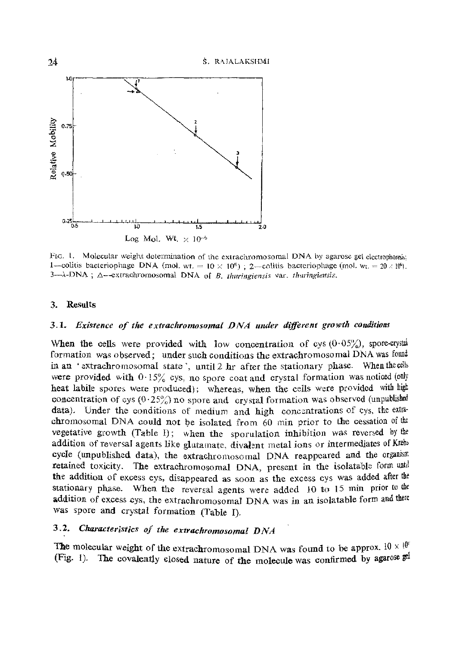

FIG. 1. Molecular weight determination of the extrachromosomal DNA by agarose gel electrophoresis: 1—colitis bacteriophage DNA (mol. wt. =  $10 \times 10^6$ ); 2—colitis bacteriophage (mol. wt. = 20 / 10<sup>6</sup>).  $3-\lambda$ -DNA;  $\Delta$ --extrachromosomal DNA of B. thuringiensis var. thuringiensis.

#### 3. Results

## 3.1. Existence of the extrachromosomal DNA under different growth conditions

When the cells were provided with low concentration of cys  $(0.05\%)$ , spore-crystal formation was observed; under such conditions the extrachromosomal DNA was found in an 'extrachromosomal state', until 2 hr after the stationary phase. When the cells were provided with  $0.15\%$  cys, no spore coat and crystal formation was noticed (only heat labile spores were produced); whereas, when the cells were provided with high concentration of cys  $(0.25\%)$  no spore and crystal formation was observed (unpublished data). Under the conditions of medium and high concentrations of cys, the extrachromosomal DNA could not be isolated from 60 min prior to the cessation of the vegetative growth (Table I); when the sporulation inhibition was reversed by the addition of reversal agents like glutamate, divalent metal ions or intermediates of Krebs cycle (unpublished data), the extrachromosomal DNA reappeared and the organism retained toxicity. The extrachromosomal DNA, present in the isolatable form und the addition of excess cys, disappeared as soon as the excess cys was added after the stationary phase. When the reversal agents were added 10 to 15 min prior to the addition of excess cys, the extrachromosomal DNA was in an isolatable form and there was spore and crystal formation (Table I).

# 3.2. Characteristics of the extrachromosomal DNA

The molecular weight of the extrachromosomal DNA was found to be approx.  $10 \times 10^8$ (Fig. 1). The covalently closed nature of the molecule was confirmed by agarose  $\mathbb{R}^d$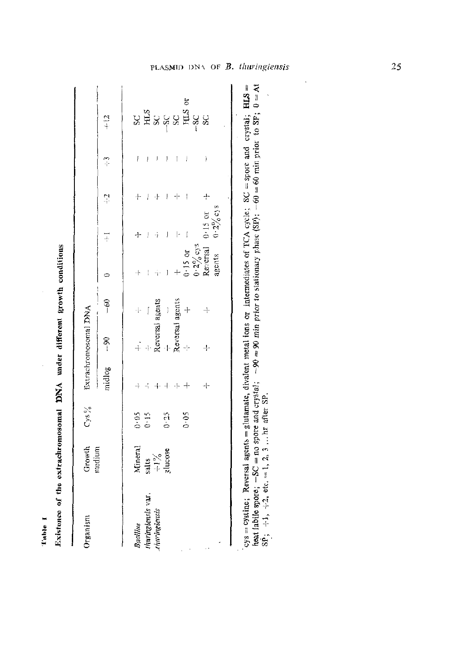| Organism            | Growth<br>medium                          | $Cys\frac{\theta y}{\theta}$ |            | Extrachromosomal DNA |                                |                                    |             |   |         |                              |
|---------------------|-------------------------------------------|------------------------------|------------|----------------------|--------------------------------|------------------------------------|-------------|---|---------|------------------------------|
|                     |                                           |                              | midlog -90 |                      | e<br>T                         |                                    | Į           | ņ | m<br> - | $\frac{12}{1}$               |
| Bacillus            |                                           |                              |            |                      | ⊹                              |                                    |             |   | Į       |                              |
| Interingtensis var. |                                           | $0.05$<br>0.15               |            |                      | Į                              |                                    |             | Į | Į       |                              |
| tharingiensis       | Mineral<br>salts<br>$\div 1\%$<br>zlucose |                              | $+$        |                      | Reversal agents                | ÷                                  |             | 4 |         | និដ្ឋិននីងនិង<br>និងនិងនីងនិ |
|                     |                                           | $0 - 25$                     | 4          |                      | $\begin{array}{c} \end{array}$ | j                                  | J           |   |         |                              |
|                     |                                           |                              | -1-        | Reversal agents      |                                |                                    |             |   |         |                              |
|                     |                                           | 0.05                         | $+$        |                      | 4                              | $3.15$ or                          | Į           |   | j       | 5                            |
|                     |                                           |                              |            |                      |                                | $0.2\frac{9}{6}$ cys<br>Reversal ( |             |   |         |                              |
|                     |                                           |                              | чþ         | ÷.                   | $\ddot{+}$                     |                                    | $0.15$ or   |   | ĵ       |                              |
|                     |                                           |                              |            |                      |                                | agents                             | $0.2\%$ ess |   |         |                              |
|                     |                                           |                              |            |                      |                                |                                    |             |   |         |                              |
|                     |                                           |                              |            |                      |                                |                                    |             |   |         |                              |

Existence of the extrachromosomal DNA under different growth conditions

l'able I

tent labile spore;  $-SC =$  no spore and crystal;  $-90 = 90$  min prior to stationary phase (SP);  $-60 = 60$  min prior to SP;  $0 = At$ <br>SP<sub>1</sub>,  $+1$ ,  $+2$ , etc. = 1, 2, 3 ... hr after SP.

l,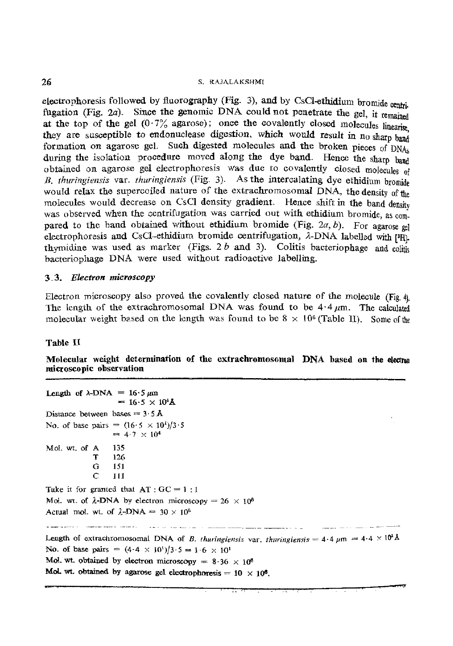#### 26 **S. RAJALAKSHMI**

electrophoresis followed by fluorography (Fig. 3), and by CsCI-ethidium bromide centri. fugation (Fig. 2a). Since the genomic DNA could not penetrate the gel, it remained at the top of the gel  $(0.7\%$  agarose); once the covalently closed molecules linearies they are susceptible to endonuclease digestion, which would result in no sharp band formation on agarose gel. Such digested molecules and the broken pieces of DNA. during the isolation procedure moved along the dye band. Hence the sharp band obtained on agarose gel electrophoresis was due to covalently closed molecules of *B. thuringiensis* var. *thuringiensis* (Fig. 3). As the intercalating dye ethidium bromide would relax the supercoiled nature of the extrachromosomal DNA, the density of the molecules would decrease on CsCl density gradient. Hence shift in the band densite was observed when the centrifugation was carried out with ethidium bromide, as compared to the band obtained without ethidium bromide (Fig.  $2a, b$ ). For agarose only electrophoresis and CsCI-ethidium bromide centrifugation, *A*-DNA labelled with [PH]. thymidine was used as marker (Figs.  $2 b$  and  $3$ ). Colitis bacteriophage and colitic bacteriophage **DNA** were used without radioactive labelling.

## **3.3.** *Electron* **microscopy**

Electron microscopy also proved the covalently closed nature of the molecule (Fig. 4) The length of the extrachromosomal DNA was found to be  $4.4 \mu m$ . The calculated molecular weight based on the length was found to be  $8 \times 10^6$  (Table II) Some of the

## Table II

Molecular weight determination of the extrachromosomal **DNA** based on the electron microscopic observation

```
Length of \lambda-DNA = 16.5 \mu m= 16.5 \times 10^{4}Å
Distance between bases = 3.5 \text{ Å}No. of base pairs = (16.5 \times 10^{4})/3.5= 4.7 \times 10^4Mol. wt. of A 135 
                 T = 126<br>G 151G 151 
                        C I11 
Take it for granted that AT : GC = 1 : 1Mol. wt. of \lambda-DNA by electron microscopy = 26 \times 10^6Actual mol. wt. of \lambda-DNA = 30 \times 10^6Fake it for granted that AT : GC = 1 : 1<br>
Mol. wt. of \lambda-DNA by electron microscopy = 26 \times 10^6<br>
Actual mol. wt. of \lambda-DNA = 30 \times 10^6<br>
Length of extrachromosomal DNA of B, thuringiensis var, thuringiensis = No. of base pairs = (4.4 \times 10^{1})/3.5 = 1.6 \times 10^{1}Mol. wt. obtained by electron microscopy = 8.36 \times 10^6Mol. wt. obtained by agarose gel electrophoresis = 10 \times 10^6.
```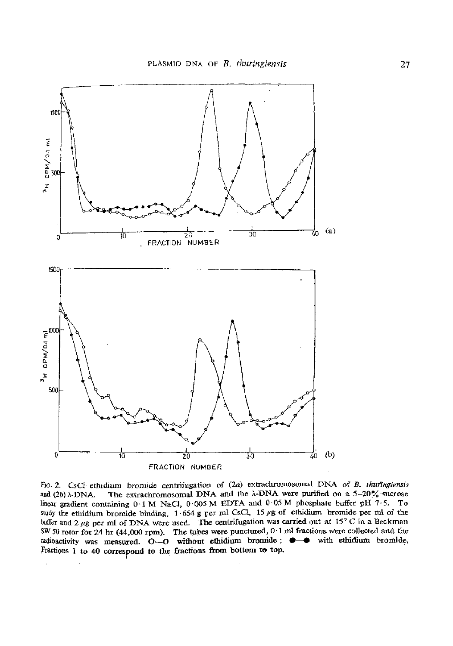

FIG. 2. CsCl-ethidium bromide centrifugation of (2a) extrachromosomal DNA of *B. thuringiensis* and  $(2b)$   $\lambda$ -DNA. The extrachromosomal DNA and the  $\lambda$ -DNA were purified on a 5-20% sucrose linear gradient containing 0.1 M NaCl, 0.005 M EDTA and 0.05 M phosphate buffer pH 7.5. To Study the ethidium bromide binding, 1.654 g per **ml** CsC1, 15 **pg** of ethidium bromide per ml of the buffer and 2 **pg per** ml of DNA were **used.** The centrifugation **was carried** out at 19 C in a Beckman **SW** 50 rotor for 24 **hr** (44,000 rpm). The tubes were punctured, **0.1 ml** fractions were collected and the radioactivity was measured.  $0-0$  without ethidium bromide;  $\bullet - \bullet$  with ethidium bromide, Fractions 1 to 40 correspond to the fractions from bottom to top.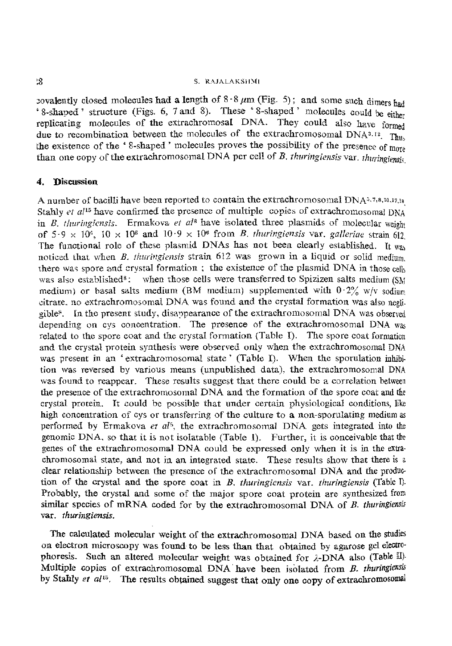## S. RAJALAKSHMI

covalently closed molecules had a length of  $8.8 \mu m$  (Fig. 5); and some such dimers had ' 8-shaped ' structure (Figs. 6, 7 and 8). These '8-shaped ' molecules could be either replicating molecules of the extrachromosal DNA. They could also have formed due to recombination between the molecules of the extrachromosomal  $\overline{DNA}$ <sup>3.13</sup>. Thus the existence of the '8-shaped' molecules proves the possibility of the presence of more than one copy of the extrachromosomal DNA per cell of *B. thuringiensis* var. *thuringiensis* 

## **4. Discussion**

A number of bacilli have been reported to contain the extrachromosomal DNA $^{3.7,8,10,17,18}$ Stahly *et al*<sup>15</sup> have confirmed the presence of multiple copies of extrachromosomal DNA in  $B_{\perp}/h$ uringiensis. Ermakova *et ul<sup>8</sup>* have isolated three plasmids of molecular weight of  $5.9 \times 10^8$ ,  $10 \times 10^8$  and  $10.9 \times 10^8$  from *B. thuringiensis* var. *galleriae* strain 612 *The* functional role of these plasmid **DNAs** has not been clearly established. It vra, noticed that when B. *thuringiensis* strain 612 was grown in a liquid or solid medium there was spore and crystal formation ; the existence of the plasmid DNA in those cell, was also established<sup>8</sup>: when those cells were transferred to Spizizen salts medium (SM medium) or basal salts medium (BM medium) supplemented with  $0.2\%$  w/v sodium eitrare, no extrachromosomal DNA was found and the crystal formation was also negligible<sup>8</sup>. In the present study, disappearance of the extrachromosomal DNA was observed depending on cys concentration. The presence of the extrachromosomal DNA was related to the spore coat and the crystal formation (Table I). The spore coat formation and the crystal protein synthesis were observed only when the extrachromosomal DNA was present in an 'extrachromosomal state' (Table I). When the sporulation inhibition was reversed by various means (unpublished data), the extrachromosomal DNA was found to reappear. These results suggest that there could be a correlation between the presence of the extrachromosomal DNA and the formation of the spore coat and the crystal protein. It could be possible that under certain physiological conditions, like high concentration of cys or transferring of the culture to a non-sporulating medium as performed by Ermakova *et al<sup>5</sup>*, the extrachromosomal *DNA* gets integrated into the genomic DNA, so that it is not isolatable (Table I). Further, it is conceivable that tb: senes of the extrachromosomal DNA could be expressed only when it is in the **extra**chromosomal state, and not in an integrated state. Thesc results show that there is s clear relationship between the presence of the extrachromosomal DNA and the produo tion of the crystal and the spore coat in B. *thuringiensis* var. *thuringiensis* (Table I). Probably, the crystal and some of the major spore coat protein are synthesized from similar species of mRNA coded for by the extrachromosomal DNA of *B. thuringiemis*  var. *thuringiensis*.

The calculated molecular weight of the extrachromosomal DNA based on the studies on electron microscopy was found to be less than that obtained by agarose gel eledrophoresis. Such an altered molecular weight was obtained for  $\lambda$ -DNA also (Table II). Multiple copies of extrachromosomal DNA have been isolated from B. thuringiensis by Stahly *et al<sup>15</sup>*. The results obtained suggest that only one copy of extrachromosomal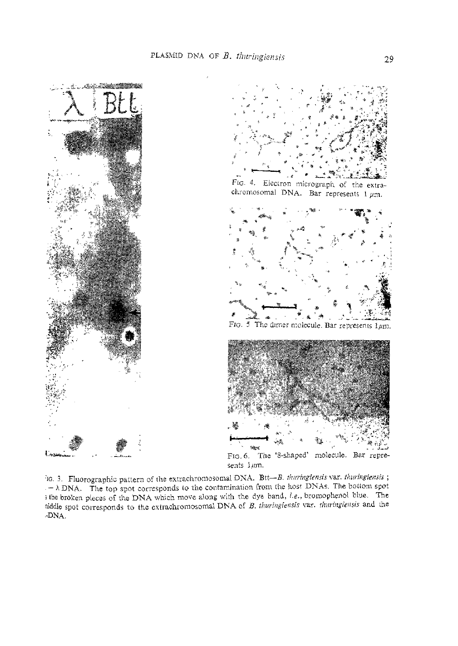

ic. 3. Fluorographic pattern of the extrachromosomal DNA. Btt-B. thuringiensis var. thuringiensis;  $-\lambda$  DNA. The top spot corresponds to the contamination from the host DNAs. The bottom spot s the broken pieces of the DNA which move along with the dye band, i.e., bromophenol blue. The niddle spot corresponds to the extrachromosomal DNA of B. thuringiensis var. thuringiensis and the -DNA.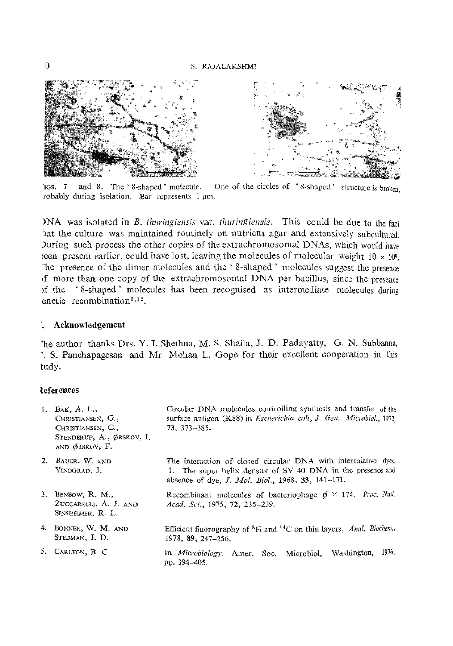

One of the circles of '8-shaped' structure is broken.  $TCS = 7$ and 8. The '8-shaped' molecule. robably during isolation. Bar represents  $1 \mu m$ .

NA was isolated in B. thuringiensis var. thuringiensis. This could be due to the fact hat the culture was maintained routinely on nutrient agar and extensively subcultured. Juring such process the other copies of the extrachromosomal DNAs, which would have een present earlier, could have lost, leaving the molecules of molecular weight  $10 \times 10^8$ . The presence of the dimer molecules and the '8-shaped' molecules suggest the presence of more than one copy of the extrachromosomal DNA per bacillus, since the presence of the '8-shaped' molecules has been recognised as intermediate molecules during enetic recombination<sup>3,12</sup>.

### Acknowledgement

"he author thanks Drs. Y. I. Shethna, M. S. Shaila, J. D. Padavatty, G. N. Subbanna, '. S. Panchapagesan and Mr. Mohan L. Gope for their excellent cooperation in this tudy.

## *deferences*

| $\mathbf{1}$ . | BAK, A. L.,<br>CHRISTIANSEN, G.,<br>CHRISTIANSEN, C.,<br>STENDERUP, A., ØRSKOV, I.<br>AND ØRSKOV, F. | Circular DNA molecules controlling synthesis and transfer of the<br>surface antigen (K88) in Escherichia coli, J. Gen. Microbiol., 1972,<br>$73.373 - 385.$                                 |
|----------------|------------------------------------------------------------------------------------------------------|---------------------------------------------------------------------------------------------------------------------------------------------------------------------------------------------|
|                | 2. BAUER, W. AND<br>VINOGRAD. J.                                                                     | The interaction of closed circular DNA with intercalative dyes.<br>1. The super helix density of SV 40 DNA in the presence and<br>absence of dye. <i>J. Mol. Biol.</i> , 1968, 33, 141-171. |
|                | 3. BENBOW, R. M.,<br>ZUCCARELLI, A. J. AND<br>SINSHEIMER, R. L.                                      | Recombinant molecules of bacteriophage $\phi \times 174$ . Proc. Natl.<br>Acad, Sci., 1975, 72, 235-239.                                                                                    |
|                | 4. BONNER, W. M. AND<br>STEDMAN, J. D.                                                               | Efficient fluorography of <sup>3</sup> H and <sup>1,4</sup> C on thin layers, Anal. Biochem.,<br>1978, 89, 247-256.                                                                         |
|                | 5. CARLTON, B. C.                                                                                    | 1976,<br>In Microbiology. Amer. Soc. Microbiol, Washington,<br>pp. 394-405                                                                                                                  |